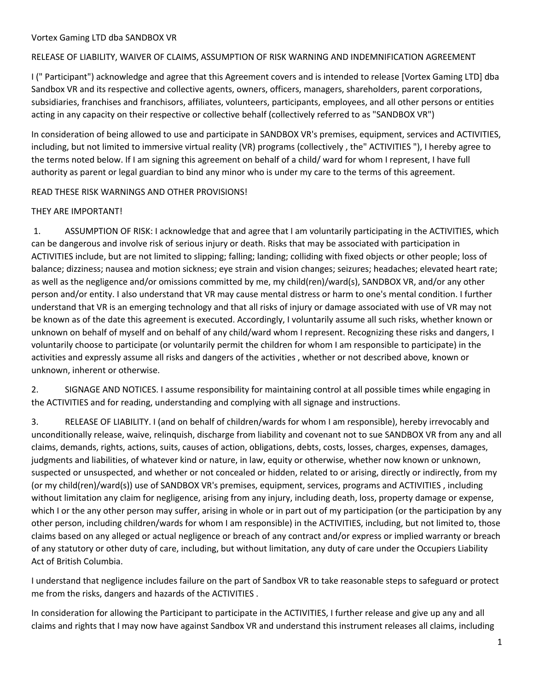#### RELEASE OF LIABILITY, WAIVER OF CLAIMS, ASSUMPTION OF RISK WARNING AND INDEMNIFICATION AGREEMENT

I (" Participant") acknowledge and agree that this Agreement covers and is intended to release [Vortex Gaming LTD] dba Sandbox VR and its respective and collective agents, owners, officers, managers, shareholders, parent corporations, subsidiaries, franchises and franchisors, affiliates, volunteers, participants, employees, and all other persons or entities acting in any capacity on their respective or collective behalf (collectively referred to as "SANDBOX VR")

In consideration of being allowed to use and participate in SANDBOX VR's premises, equipment, services and ACTIVITIES, including, but not limited to immersive virtual reality (VR) programs (collectively , the" ACTIVITIES "), I hereby agree to the terms noted below. If I am signing this agreement on behalf of a child/ ward for whom I represent, I have full authority as parent or legal guardian to bind any minor who is under my care to the terms of this agreement.

READ THESE RISK WARNINGS AND OTHER PROVISIONS!

#### THEY ARE IMPORTANT!

1. ASSUMPTION OF RISK: I acknowledge that and agree that I am voluntarily participating in the ACTIVITIES, which can be dangerous and involve risk of serious injury or death. Risks that may be associated with participation in ACTIVITIES include, but are not limited to slipping; falling; landing; colliding with fixed objects or other people; loss of balance; dizziness; nausea and motion sickness; eye strain and vision changes; seizures; headaches; elevated heart rate; as well as the negligence and/or omissions committed by me, my child(ren)/ward(s), SANDBOX VR, and/or any other person and/or entity. I also understand that VR may cause mental distress or harm to one's mental condition. I further understand that VR is an emerging technology and that all risks of injury or damage associated with use of VR may not be known as of the date this agreement is executed. Accordingly, I voluntarily assume all such risks, whether known or unknown on behalf of myself and on behalf of any child/ward whom I represent. Recognizing these risks and dangers, I voluntarily choose to participate (or voluntarily permit the children for whom I am responsible to participate) in the activities and expressly assume all risks and dangers of the activities , whether or not described above, known or unknown, inherent or otherwise.

2. SIGNAGE AND NOTICES. I assume responsibility for maintaining control at all possible times while engaging in the ACTIVITIES and for reading, understanding and complying with all signage and instructions.

3. RELEASE OF LIABILITY. I (and on behalf of children/wards for whom I am responsible), hereby irrevocably and unconditionally release, waive, relinquish, discharge from liability and covenant not to sue SANDBOX VR from any and all claims, demands, rights, actions, suits, causes of action, obligations, debts, costs, losses, charges, expenses, damages, judgments and liabilities, of whatever kind or nature, in law, equity or otherwise, whether now known or unknown, suspected or unsuspected, and whether or not concealed or hidden, related to or arising, directly or indirectly, from my (or my child(ren)/ward(s)) use of SANDBOX VR's premises, equipment, services, programs and ACTIVITIES , including without limitation any claim for negligence, arising from any injury, including death, loss, property damage or expense, which I or the any other person may suffer, arising in whole or in part out of my participation (or the participation by any other person, including children/wards for whom I am responsible) in the ACTIVITIES, including, but not limited to, those claims based on any alleged or actual negligence or breach of any contract and/or express or implied warranty or breach of any statutory or other duty of care, including, but without limitation, any duty of care under the Occupiers Liability Act of British Columbia.

I understand that negligence includes failure on the part of Sandbox VR to take reasonable steps to safeguard or protect me from the risks, dangers and hazards of the ACTIVITIES .

In consideration for allowing the Participant to participate in the ACTIVITIES, I further release and give up any and all claims and rights that I may now have against Sandbox VR and understand this instrument releases all claims, including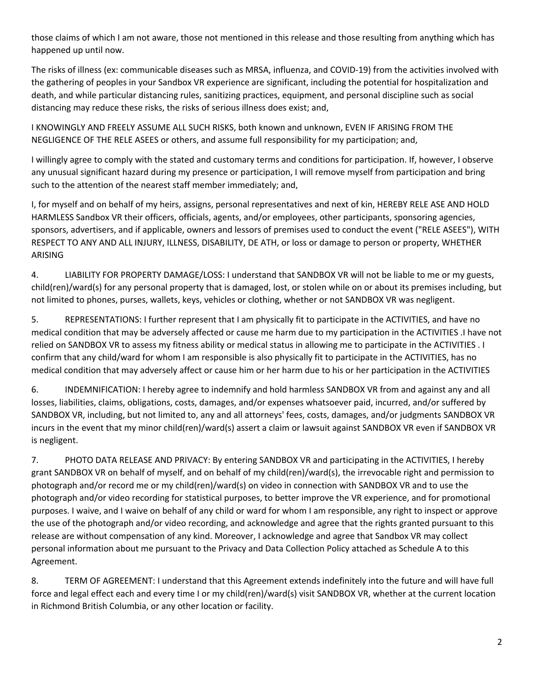those claims of which I am not aware, those not mentioned in this release and those resulting from anything which has happened up until now.

The risks of illness (ex: communicable diseases such as MRSA, influenza, and COVID-19) from the activities involved with the gathering of peoples in your Sandbox VR experience are significant, including the potential for hospitalization and death, and while particular distancing rules, sanitizing practices, equipment, and personal discipline such as social distancing may reduce these risks, the risks of serious illness does exist; and,

I KNOWINGLY AND FREELY ASSUME ALL SUCH RISKS, both known and unknown, EVEN IF ARISING FROM THE NEGLIGENCE OF THE RELE ASEES or others, and assume full responsibility for my participation; and,

I willingly agree to comply with the stated and customary terms and conditions for participation. If, however, I observe any unusual significant hazard during my presence or participation, I will remove myself from participation and bring such to the attention of the nearest staff member immediately; and,

I, for myself and on behalf of my heirs, assigns, personal representatives and next of kin, HEREBY RELE ASE AND HOLD HARMLESS Sandbox VR their officers, officials, agents, and/or employees, other participants, sponsoring agencies, sponsors, advertisers, and if applicable, owners and lessors of premises used to conduct the event ("RELE ASEES"), WITH RESPECT TO ANY AND ALL INJURY, ILLNESS, DISABILITY, DE ATH, or loss or damage to person or property, WHETHER ARISING

4. LIABILITY FOR PROPERTY DAMAGE/LOSS: I understand that SANDBOX VR will not be liable to me or my guests, child(ren)/ward(s) for any personal property that is damaged, lost, or stolen while on or about its premises including, but not limited to phones, purses, wallets, keys, vehicles or clothing, whether or not SANDBOX VR was negligent.

5. REPRESENTATIONS: I further represent that I am physically fit to participate in the ACTIVITIES, and have no medical condition that may be adversely affected or cause me harm due to my participation in the ACTIVITIES .I have not relied on SANDBOX VR to assess my fitness ability or medical status in allowing me to participate in the ACTIVITIES . I confirm that any child/ward for whom I am responsible is also physically fit to participate in the ACTIVITIES, has no medical condition that may adversely affect or cause him or her harm due to his or her participation in the ACTIVITIES

6. INDEMNIFICATION: I hereby agree to indemnify and hold harmless SANDBOX VR from and against any and all losses, liabilities, claims, obligations, costs, damages, and/or expenses whatsoever paid, incurred, and/or suffered by SANDBOX VR, including, but not limited to, any and all attorneys' fees, costs, damages, and/or judgments SANDBOX VR incurs in the event that my minor child(ren)/ward(s) assert a claim or lawsuit against SANDBOX VR even if SANDBOX VR is negligent.

7. PHOTO DATA RELEASE AND PRIVACY: By entering SANDBOX VR and participating in the ACTIVITIES, I hereby grant SANDBOX VR on behalf of myself, and on behalf of my child(ren)/ward(s), the irrevocable right and permission to photograph and/or record me or my child(ren)/ward(s) on video in connection with SANDBOX VR and to use the photograph and/or video recording for statistical purposes, to better improve the VR experience, and for promotional purposes. I waive, and I waive on behalf of any child or ward for whom I am responsible, any right to inspect or approve the use of the photograph and/or video recording, and acknowledge and agree that the rights granted pursuant to this release are without compensation of any kind. Moreover, I acknowledge and agree that Sandbox VR may collect personal information about me pursuant to the Privacy and Data Collection Policy attached as Schedule A to this Agreement.

8. TERM OF AGREEMENT: I understand that this Agreement extends indefinitely into the future and will have full force and legal effect each and every time I or my child(ren)/ward(s) visit SANDBOX VR, whether at the current location in Richmond British Columbia, or any other location or facility.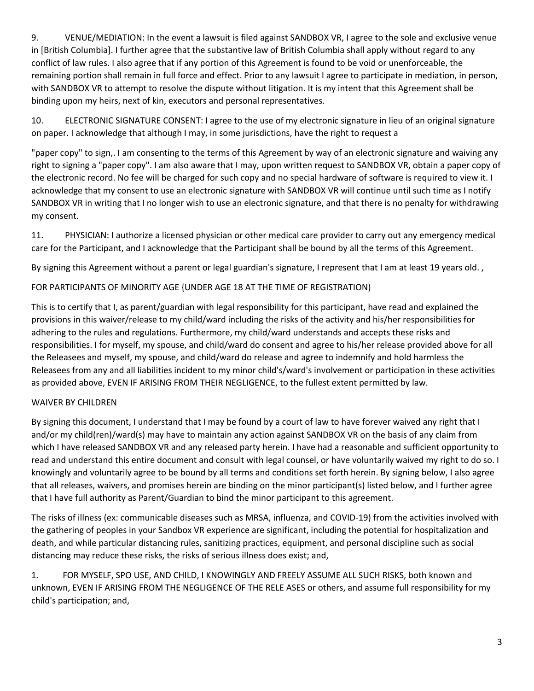9. VENUE/MEDIATION: In the event a lawsuit is filed against SANDBOX VR, I agree to the sole and exclusive venue in [British Columbia]. I further agree that the substantive law of British Columbia shall apply without regard to any conflict of law rules. I also agree that if any portion of this Agreement is found to be void or unenforceable, the remaining portion shall remain in full force and effect. Prior to any lawsuit I agree to participate in mediation, in person, with SANDBOX VR to attempt to resolve the dispute without litigation. It is my intent that this Agreement shall be binding upon my heirs, next of kin, executors and personal representatives.

10. ELECTRONIC SIGNATURE CONSENT: I agree to the use of my electronic signature in lieu of an original signature on paper. I acknowledge that although I may, in some jurisdictions, have the right to request a

"paper copy" to sign,. I am consenting to the terms of this Agreement by way of an electronic signature and waiving any right to signing a "paper copy". I am also aware that I may, upon written request to SANDBOX VR, obtain a paper copy of the electronic record. No fee will be charged for such copy and no special hardware of software is required to view it. I acknowledge that my consent to use an electronic signature with SANDBOX VR will continue until such time as I notify SANDBOX VR in writing that I no longer wish to use an electronic signature, and that there is no penalty for withdrawing my consent.

11. PHYSICIAN: I authorize a licensed physician or other medical care provider to carry out any emergency medical care for the Participant, and I acknowledge that the Participant shall be bound by all the terms of this Agreement.

By signing this Agreement without a parent or legal guardian's signature, I represent that I am at least 19 years old.,

# FOR PARTICIPANTS OF MINORITY AGE {UNDER AGE 18 AT THE TIME OF REGISTRATION)

This is to certify that I, as parent/guardian with legal responsibility for this participant, have read and explained the provisions in this waiver/release to my child/ward including the risks of the activity and his/her responsibilities for adhering to the rules and regulations. Furthermore, my child/ward understands and accepts these risks and responsibilities. I for myself, my spouse, and child/ward do consent and agree to his/her release provided above for all the Releasees and myself, my spouse, and child/ward do release and agree to indemnify and hold harmless the Releasees from any and all liabilities incident to my minor child's/ward's involvement or participation in these activities as provided above, EVEN IF ARISING FROM THEIR NEGLIGENCE, to the fullest extent permitted by law.

## WAIVER BY CHILDREN

By signing this document, I understand that I may be found by a court of law to have forever waived any right that I and/or my child(ren)/ward(s) may have to maintain any action against SANDBOX VR on the basis of any claim from which I have released SANDBOX VR and any released party herein. I have had a reasonable and sufficient opportunity to read and understand this entire document and consult with legal counsel, or have voluntarily waived my right to do so. I knowingly and voluntarily agree to be bound by all terms and conditions set forth herein. By signing below, I also agree that all releases, waivers, and promises herein are binding on the minor participant(s) listed below, and I further agree that I have full authority as Parent/Guardian to bind the minor participant to this agreement.

The risks of illness (ex: communicable diseases such as MRSA, influenza, and COVID-19) from the activities involved with the gathering of peoples in your Sandbox VR experience are significant, including the potential for hospitalization and death, and while particular distancing rules, sanitizing practices, equipment, and personal discipline such as social distancing may reduce these risks, the risks of serious illness does exist; and,

1. FOR MYSELF, SPO USE, AND CHILD, I KNOWINGLY AND FREELY ASSUME ALL SUCH RISKS, both known and unknown, EVEN IF ARISING FROM THE NEGLIGENCE OF THE RELE ASES or others, and assume full responsibility for my child's participation; and,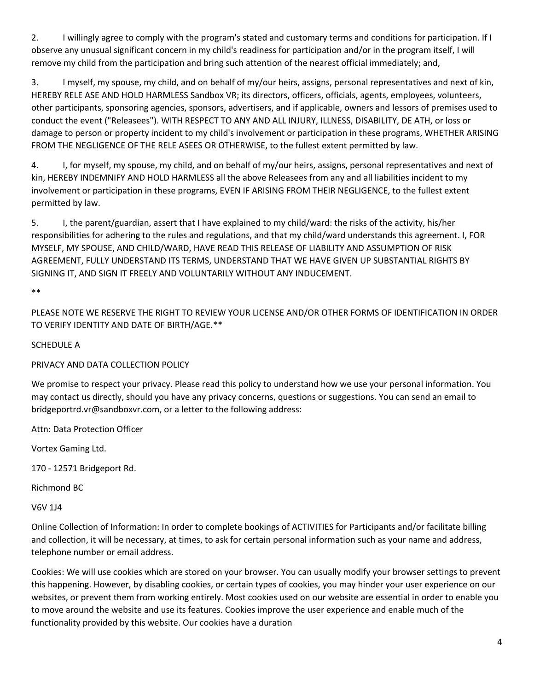2. I willingly agree to comply with the program's stated and customary terms and conditions for participation. If I observe any unusual significant concern in my child's readiness for participation and/or in the program itself, I will remove my child from the participation and bring such attention of the nearest official immediately; and,

3. I myself, my spouse, my child, and on behalf of my/our heirs, assigns, personal representatives and next of kin, HEREBY RELE ASE AND HOLD HARMLESS Sandbox VR; its directors, officers, officials, agents, employees, volunteers, other participants, sponsoring agencies, sponsors, advertisers, and if applicable, owners and lessors of premises used to conduct the event ("Releasees"). WITH RESPECT TO ANY AND ALL INJURY, ILLNESS, DISABILITY, DE ATH, or loss or damage to person or property incident to my child's involvement or participation in these programs, WHETHER ARISING FROM THE NEGLIGENCE OF THE RELE ASEES OR OTHERWISE, to the fullest extent permitted by law.

4. I, for myself, my spouse, my child, and on behalf of my/our heirs, assigns, personal representatives and next of kin, HEREBY INDEMNIFY AND HOLD HARMLESS all the above Releasees from any and all liabilities incident to my involvement or participation in these programs, EVEN IF ARISING FROM THEIR NEGLIGENCE, to the fullest extent permitted by law.

5. I, the parent/guardian, assert that I have explained to my child/ward: the risks of the activity, his/her responsibilities for adhering to the rules and regulations, and that my child/ward understands this agreement. I, FOR MYSELF, MY SPOUSE, AND CHILD/WARD, HAVE READ THIS RELEASE OF LIABILITY AND ASSUMPTION OF RISK AGREEMENT, FULLY UNDERSTAND ITS TERMS, UNDERSTAND THAT WE HAVE GIVEN UP SUBSTANTIAL RIGHTS BY SIGNING IT, AND SIGN IT FREELY AND VOLUNTARILY WITHOUT ANY INDUCEMENT.

\*\*

PLEASE NOTE WE RESERVE THE RIGHT TO REVIEW YOUR LICENSE AND/OR OTHER FORMS OF IDENTIFICATION IN ORDER TO VERIFY IDENTITY AND DATE OF BIRTH/AGE.\*\*

### SCHEDULE A

## PRIVACY AND DATA COLLECTION POLICY

We promise to respect your privacy. Please read this policy to understand how we use your personal information. You may contact us directly, should you have any privacy concerns, questions or suggestions. You can send an email to bridgeportrd.vr@sandboxvr.com, or a letter to the following address:

Attn: Data Protection Officer

Vortex Gaming Ltd.

170 - 12571 Bridgeport Rd.

Richmond BC

V6V 1J4

Online Collection of Information: In order to complete bookings of ACTIVITIES for Participants and/or facilitate billing and collection, it will be necessary, at times, to ask for certain personal information such as your name and address, telephone number or email address.

Cookies: We will use cookies which are stored on your browser. You can usually modify your browser settings to prevent this happening. However, by disabling cookies, or certain types of cookies, you may hinder your user experience on our websites, or prevent them from working entirely. Most cookies used on our website are essential in order to enable you to move around the website and use its features. Cookies improve the user experience and enable much of the functionality provided by this website. Our cookies have a duration